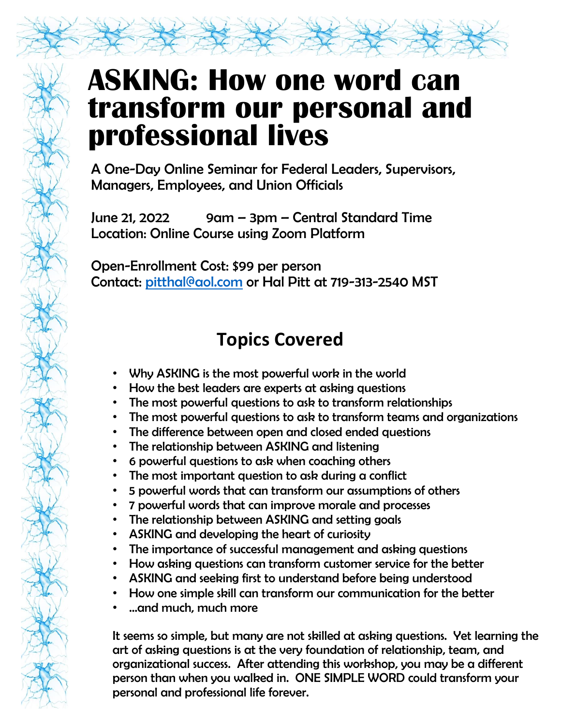## **ASKING: How one word can transform our personal and professional lives**

A One-Day Online Seminar for Federal Leaders, Supervisors, Managers, Employees, and Union Officials

June 21, 2022 9am – 3pm – Central Standard Time Location: Online Course using Zoom Platform

Open-Enrollment Cost: \$99 per person Contact: [pitthal@aol.com](mailto:pitthal@aol.com) or Hal Pitt at 719-313-2540 MST

## **Topics Covered**

- Why ASKING is the most powerful work in the world
- How the best leaders are experts at asking questions
- The most powerful questions to ask to transform relationships
- The most powerful questions to ask to transform teams and organizations
- The difference between open and closed ended questions
- The relationship between ASKING and listening
- 6 powerful questions to ask when coaching others
- The most important question to ask during a conflict
- 5 powerful words that can transform our assumptions of others
- 7 powerful words that can improve morale and processes
- The relationship between ASKING and setting goals
- ASKING and developing the heart of curiosity
- The importance of successful management and asking questions
- How asking questions can transform customer service for the better
- ASKING and seeking first to understand before being understood
- How one simple skill can transform our communication for the better
- …and much, much more

It seems so simple, but many are not skilled at asking questions. Yet learning the art of asking questions is at the very foundation of relationship, team, and organizational success. After attending this workshop, you may be a different person than when you walked in. ONE SIMPLE WORD could transform your personal and professional life forever.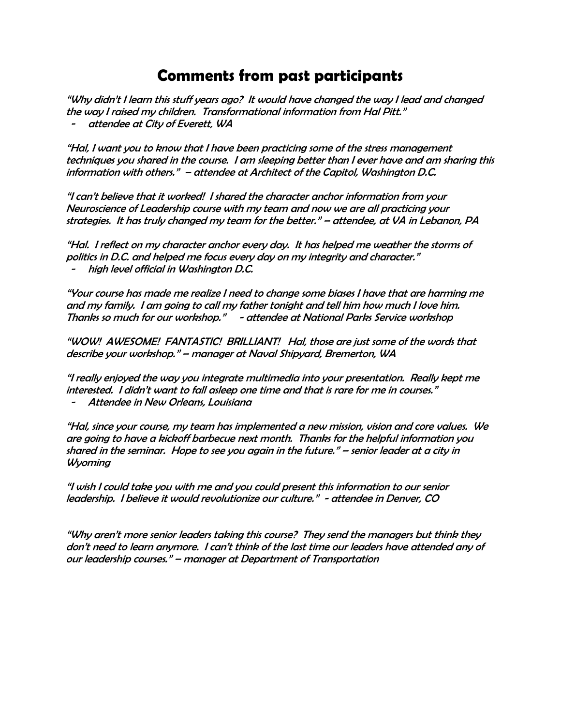## **Comments from past participants**

"Why didn't I learn this stuff years ago? It would have changed the way I lead and changed the way I raised my children. Transformational information from Hal Pitt."

attendee at City of Everett, WA

"Hal, I want you to know that I have been practicing some of the stress management techniques you shared in the course. I am sleeping better than I ever have and am sharing this information with others." – attendee at Architect of the Capitol, Washington D.C.

"I can't believe that it worked! I shared the character anchor information from your Neuroscience of Leadership course with my team and now we are all practicing your strategies. It has truly changed my team for the better." – attendee, at VA in Lebanon, PA

"Hal. I reflect on my character anchor every day. It has helped me weather the storms of politics in D.C. and helped me focus every day on my integrity and character." high level official in Washington D.C.

"Your course has made me realize I need to change some biases I have that are harming me and my family. I am going to call my father tonight and tell him how much I love him. Thanks so much for our workshop." - attendee at National Parks Service workshop

"WOW! AWESOME! FANTASTIC! BRILLIANT! Hal, those are just some of the words that describe your workshop." – manager at Naval Shipyard, Bremerton, WA

"I really enjoyed the way you integrate multimedia into your presentation. Really kept me interested. I didn't want to fall asleep one time and that is rare for me in courses."

Attendee in New Orleans, Louisiana

"Hal, since your course, my team has implemented a new mission, vision and core values. We are going to have a kickoff barbecue next month. Thanks for the helpful information you shared in the seminar. Hope to see you again in the future." – senior leader at a city in Wyoming

"I wish I could take you with me and you could present this information to our senior leadership. I believe it would revolutionize our culture." - attendee in Denver, CO

"Why aren't more senior leaders taking this course? They send the managers but think they don't need to learn anymore. I can't think of the last time our leaders have attended any of our leadership courses." – manager at Department of Transportation